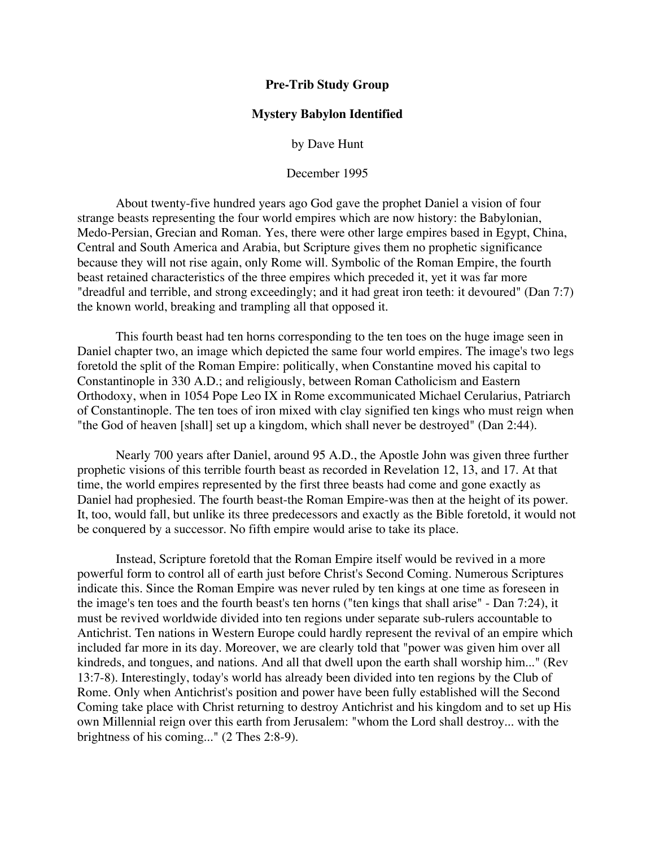## **Pre-Trib Study Group**

## **Mystery Babylon Identified**

by Dave Hunt

December 1995

About twenty-five hundred years ago God gave the prophet Daniel a vision of four strange beasts representing the four world empires which are now history: the Babylonian, Medo-Persian, Grecian and Roman. Yes, there were other large empires based in Egypt, China, Central and South America and Arabia, but Scripture gives them no prophetic significance because they will not rise again, only Rome will. Symbolic of the Roman Empire, the fourth beast retained characteristics of the three empires which preceded it, yet it was far more "dreadful and terrible, and strong exceedingly; and it had great iron teeth: it devoured" (Dan 7:7) the known world, breaking and trampling all that opposed it.

This fourth beast had ten horns corresponding to the ten toes on the huge image seen in Daniel chapter two, an image which depicted the same four world empires. The image's two legs foretold the split of the Roman Empire: politically, when Constantine moved his capital to Constantinople in 330 A.D.; and religiously, between Roman Catholicism and Eastern Orthodoxy, when in 1054 Pope Leo IX in Rome excommunicated Michael Cerularius, Patriarch of Constantinople. The ten toes of iron mixed with clay signified ten kings who must reign when "the God of heaven [shall] set up a kingdom, which shall never be destroyed" (Dan 2:44).

Nearly 700 years after Daniel, around 95 A.D., the Apostle John was given three further prophetic visions of this terrible fourth beast as recorded in Revelation 12, 13, and 17. At that time, the world empires represented by the first three beasts had come and gone exactly as Daniel had prophesied. The fourth beast-the Roman Empire-was then at the height of its power. It, too, would fall, but unlike its three predecessors and exactly as the Bible foretold, it would not be conquered by a successor. No fifth empire would arise to take its place.

Instead, Scripture foretold that the Roman Empire itself would be revived in a more powerful form to control all of earth just before Christ's Second Coming. Numerous Scriptures indicate this. Since the Roman Empire was never ruled by ten kings at one time as foreseen in the image's ten toes and the fourth beast's ten horns ("ten kings that shall arise" - Dan 7:24), it must be revived worldwide divided into ten regions under separate sub-rulers accountable to Antichrist. Ten nations in Western Europe could hardly represent the revival of an empire which included far more in its day. Moreover, we are clearly told that "power was given him over all kindreds, and tongues, and nations. And all that dwell upon the earth shall worship him..." (Rev 13:7-8). Interestingly, today's world has already been divided into ten regions by the Club of Rome. Only when Antichrist's position and power have been fully established will the Second Coming take place with Christ returning to destroy Antichrist and his kingdom and to set up His own Millennial reign over this earth from Jerusalem: "whom the Lord shall destroy... with the brightness of his coming..." (2 Thes 2:8-9).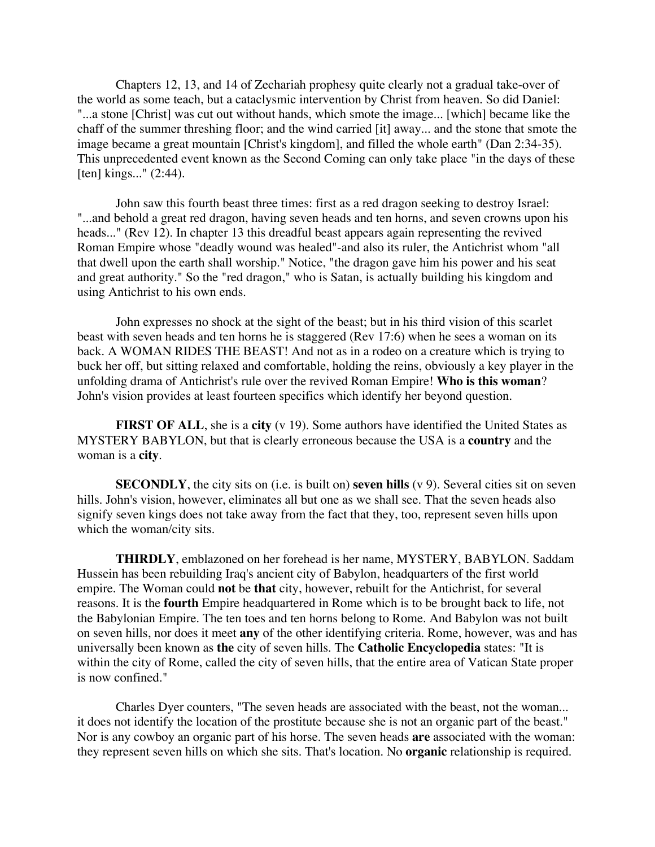Chapters 12, 13, and 14 of Zechariah prophesy quite clearly not a gradual take-over of the world as some teach, but a cataclysmic intervention by Christ from heaven. So did Daniel: "...a stone [Christ] was cut out without hands, which smote the image... [which] became like the chaff of the summer threshing floor; and the wind carried [it] away... and the stone that smote the image became a great mountain [Christ's kingdom], and filled the whole earth" (Dan 2:34-35). This unprecedented event known as the Second Coming can only take place "in the days of these [ten] kings..." (2:44).

John saw this fourth beast three times: first as a red dragon seeking to destroy Israel: "...and behold a great red dragon, having seven heads and ten horns, and seven crowns upon his heads..." (Rev 12). In chapter 13 this dreadful beast appears again representing the revived Roman Empire whose "deadly wound was healed"-and also its ruler, the Antichrist whom "all that dwell upon the earth shall worship." Notice, "the dragon gave him his power and his seat and great authority." So the "red dragon," who is Satan, is actually building his kingdom and using Antichrist to his own ends.

John expresses no shock at the sight of the beast; but in his third vision of this scarlet beast with seven heads and ten horns he is staggered (Rev 17:6) when he sees a woman on its back. A WOMAN RIDES THE BEAST! And not as in a rodeo on a creature which is trying to buck her off, but sitting relaxed and comfortable, holding the reins, obviously a key player in the unfolding drama of Antichrist's rule over the revived Roman Empire! **Who is this woman**? John's vision provides at least fourteen specifics which identify her beyond question.

**FIRST OF ALL**, she is a **city** (v 19). Some authors have identified the United States as MYSTERY BABYLON, but that is clearly erroneous because the USA is a **country** and the woman is a **city**.

**SECONDLY**, the city sits on (i.e. is built on) **seven hills** (v 9). Several cities sit on seven hills. John's vision, however, eliminates all but one as we shall see. That the seven heads also signify seven kings does not take away from the fact that they, too, represent seven hills upon which the woman/city sits.

**THIRDLY**, emblazoned on her forehead is her name, MYSTERY, BABYLON. Saddam Hussein has been rebuilding Iraq's ancient city of Babylon, headquarters of the first world empire. The Woman could **not** be **that** city, however, rebuilt for the Antichrist, for several reasons. It is the **fourth** Empire headquartered in Rome which is to be brought back to life, not the Babylonian Empire. The ten toes and ten horns belong to Rome. And Babylon was not built on seven hills, nor does it meet **any** of the other identifying criteria. Rome, however, was and has universally been known as **the** city of seven hills. The **Catholic Encyclopedia** states: "It is within the city of Rome, called the city of seven hills, that the entire area of Vatican State proper is now confined."

Charles Dyer counters, "The seven heads are associated with the beast, not the woman... it does not identify the location of the prostitute because she is not an organic part of the beast." Nor is any cowboy an organic part of his horse. The seven heads **are** associated with the woman: they represent seven hills on which she sits. That's location. No **organic** relationship is required.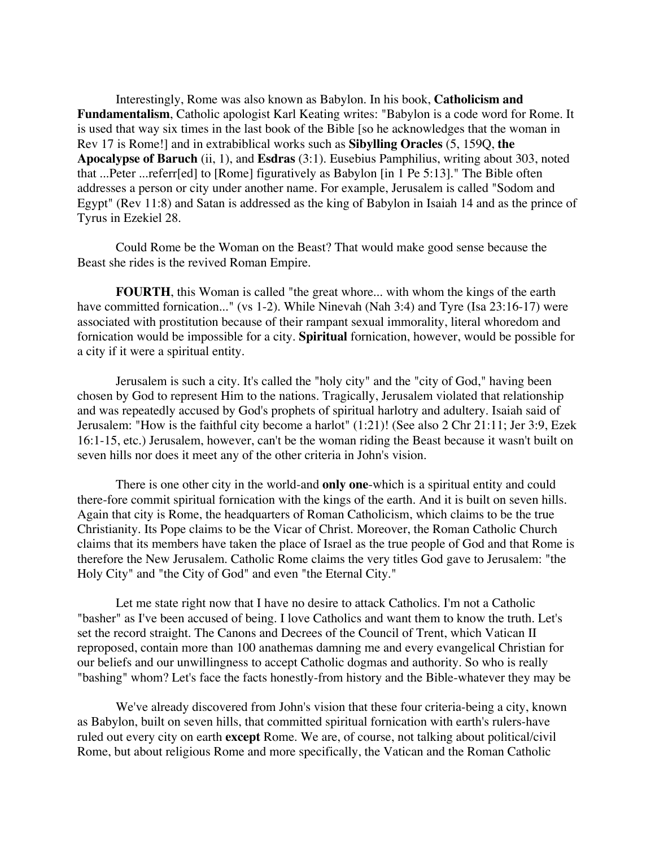Interestingly, Rome was also known as Babylon. In his book, **Catholicism and Fundamentalism**, Catholic apologist Karl Keating writes: "Babylon is a code word for Rome. It is used that way six times in the last book of the Bible [so he acknowledges that the woman in Rev 17 is Rome!] and in extrabiblical works such as **Sibylling Oracles** (5, 159Q, **the Apocalypse of Baruch** (ii, 1), and **Esdras** (3:1). Eusebius Pamphilius, writing about 303, noted that ...Peter ...referr[ed] to [Rome] figuratively as Babylon [in 1 Pe 5:13]." The Bible often addresses a person or city under another name. For example, Jerusalem is called "Sodom and Egypt" (Rev 11:8) and Satan is addressed as the king of Babylon in Isaiah 14 and as the prince of Tyrus in Ezekiel 28.

Could Rome be the Woman on the Beast? That would make good sense because the Beast she rides is the revived Roman Empire.

**FOURTH**, this Woman is called "the great whore... with whom the kings of the earth have committed fornication..." (vs 1-2). While Ninevah (Nah 3:4) and Tyre (Isa 23:16-17) were associated with prostitution because of their rampant sexual immorality, literal whoredom and fornication would be impossible for a city. **Spiritual** fornication, however, would be possible for a city if it were a spiritual entity.

Jerusalem is such a city. It's called the "holy city" and the "city of God," having been chosen by God to represent Him to the nations. Tragically, Jerusalem violated that relationship and was repeatedly accused by God's prophets of spiritual harlotry and adultery. Isaiah said of Jerusalem: "How is the faithful city become a harlot" (1:21)! (See also 2 Chr 21:11; Jer 3:9, Ezek 16:1-15, etc.) Jerusalem, however, can't be the woman riding the Beast because it wasn't built on seven hills nor does it meet any of the other criteria in John's vision.

There is one other city in the world-and **only one**-which is a spiritual entity and could there-fore commit spiritual fornication with the kings of the earth. And it is built on seven hills. Again that city is Rome, the headquarters of Roman Catholicism, which claims to be the true Christianity. Its Pope claims to be the Vicar of Christ. Moreover, the Roman Catholic Church claims that its members have taken the place of Israel as the true people of God and that Rome is therefore the New Jerusalem. Catholic Rome claims the very titles God gave to Jerusalem: "the Holy City" and "the City of God" and even "the Eternal City."

Let me state right now that I have no desire to attack Catholics. I'm not a Catholic "basher" as I've been accused of being. I love Catholics and want them to know the truth. Let's set the record straight. The Canons and Decrees of the Council of Trent, which Vatican II reproposed, contain more than 100 anathemas damning me and every evangelical Christian for our beliefs and our unwillingness to accept Catholic dogmas and authority. So who is really "bashing" whom? Let's face the facts honestly-from history and the Bible-whatever they may be

We've already discovered from John's vision that these four criteria-being a city, known as Babylon, built on seven hills, that committed spiritual fornication with earth's rulers-have ruled out every city on earth **except** Rome. We are, of course, not talking about political/civil Rome, but about religious Rome and more specifically, the Vatican and the Roman Catholic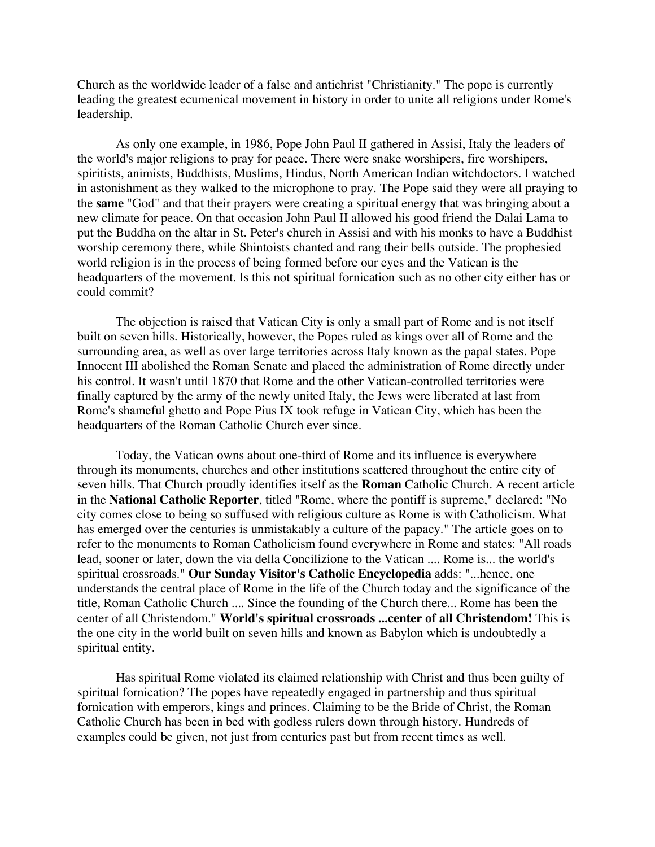Church as the worldwide leader of a false and antichrist "Christianity." The pope is currently leading the greatest ecumenical movement in history in order to unite all religions under Rome's leadership.

As only one example, in 1986, Pope John Paul II gathered in Assisi, Italy the leaders of the world's major religions to pray for peace. There were snake worshipers, fire worshipers, spiritists, animists, Buddhists, Muslims, Hindus, North American Indian witchdoctors. I watched in astonishment as they walked to the microphone to pray. The Pope said they were all praying to the **same** "God" and that their prayers were creating a spiritual energy that was bringing about a new climate for peace. On that occasion John Paul II allowed his good friend the Dalai Lama to put the Buddha on the altar in St. Peter's church in Assisi and with his monks to have a Buddhist worship ceremony there, while Shintoists chanted and rang their bells outside. The prophesied world religion is in the process of being formed before our eyes and the Vatican is the headquarters of the movement. Is this not spiritual fornication such as no other city either has or could commit?

The objection is raised that Vatican City is only a small part of Rome and is not itself built on seven hills. Historically, however, the Popes ruled as kings over all of Rome and the surrounding area, as well as over large territories across Italy known as the papal states. Pope Innocent III abolished the Roman Senate and placed the administration of Rome directly under his control. It wasn't until 1870 that Rome and the other Vatican-controlled territories were finally captured by the army of the newly united Italy, the Jews were liberated at last from Rome's shameful ghetto and Pope Pius IX took refuge in Vatican City, which has been the headquarters of the Roman Catholic Church ever since.

Today, the Vatican owns about one-third of Rome and its influence is everywhere through its monuments, churches and other institutions scattered throughout the entire city of seven hills. That Church proudly identifies itself as the **Roman** Catholic Church. A recent article in the **National Catholic Reporter**, titled "Rome, where the pontiff is supreme," declared: "No city comes close to being so suffused with religious culture as Rome is with Catholicism. What has emerged over the centuries is unmistakably a culture of the papacy." The article goes on to refer to the monuments to Roman Catholicism found everywhere in Rome and states: "All roads lead, sooner or later, down the via della Concilizione to the Vatican .... Rome is... the world's spiritual crossroads." **Our Sunday Visitor's Catholic Encyclopedia** adds: "...hence, one understands the central place of Rome in the life of the Church today and the significance of the title, Roman Catholic Church .... Since the founding of the Church there... Rome has been the center of all Christendom." **World's spiritual crossroads ...center of all Christendom!** This is the one city in the world built on seven hills and known as Babylon which is undoubtedly a spiritual entity.

Has spiritual Rome violated its claimed relationship with Christ and thus been guilty of spiritual fornication? The popes have repeatedly engaged in partnership and thus spiritual fornication with emperors, kings and princes. Claiming to be the Bride of Christ, the Roman Catholic Church has been in bed with godless rulers down through history. Hundreds of examples could be given, not just from centuries past but from recent times as well.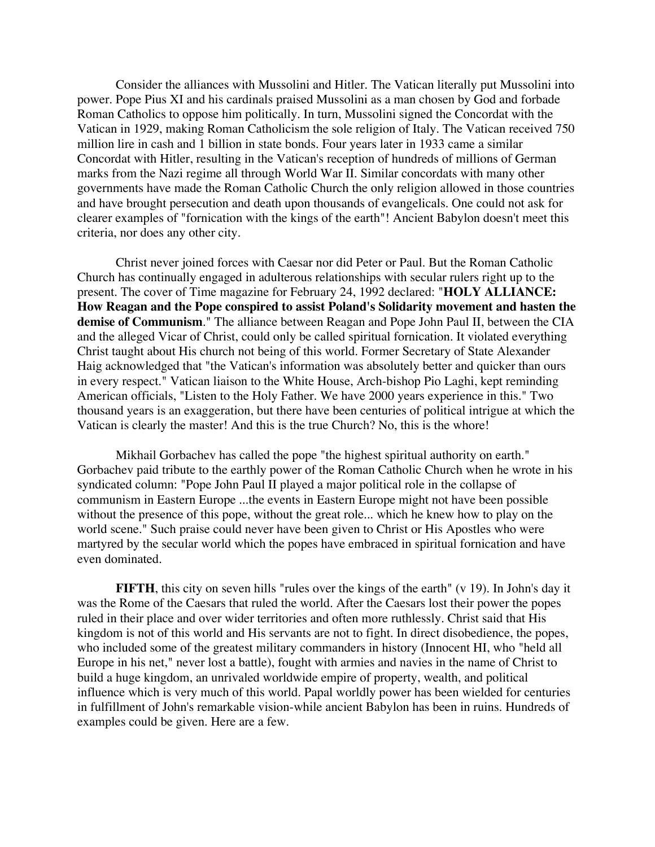Consider the alliances with Mussolini and Hitler. The Vatican literally put Mussolini into power. Pope Pius XI and his cardinals praised Mussolini as a man chosen by God and forbade Roman Catholics to oppose him politically. In turn, Mussolini signed the Concordat with the Vatican in 1929, making Roman Catholicism the sole religion of Italy. The Vatican received 750 million lire in cash and 1 billion in state bonds. Four years later in 1933 came a similar Concordat with Hitler, resulting in the Vatican's reception of hundreds of millions of German marks from the Nazi regime all through World War II. Similar concordats with many other governments have made the Roman Catholic Church the only religion allowed in those countries and have brought persecution and death upon thousands of evangelicals. One could not ask for clearer examples of "fornication with the kings of the earth"! Ancient Babylon doesn't meet this criteria, nor does any other city.

Christ never joined forces with Caesar nor did Peter or Paul. But the Roman Catholic Church has continually engaged in adulterous relationships with secular rulers right up to the present. The cover of Time magazine for February 24, 1992 declared: "**HOLY ALLIANCE: How Reagan and the Pope conspired to assist Poland's Solidarity movement and hasten the demise of Communism**." The alliance between Reagan and Pope John Paul II, between the CIA and the alleged Vicar of Christ, could only be called spiritual fornication. It violated everything Christ taught about His church not being of this world. Former Secretary of State Alexander Haig acknowledged that "the Vatican's information was absolutely better and quicker than ours in every respect." Vatican liaison to the White House, Arch-bishop Pio Laghi, kept reminding American officials, "Listen to the Holy Father. We have 2000 years experience in this." Two thousand years is an exaggeration, but there have been centuries of political intrigue at which the Vatican is clearly the master! And this is the true Church? No, this is the whore!

Mikhail Gorbachev has called the pope "the highest spiritual authority on earth." Gorbachev paid tribute to the earthly power of the Roman Catholic Church when he wrote in his syndicated column: "Pope John Paul II played a major political role in the collapse of communism in Eastern Europe ...the events in Eastern Europe might not have been possible without the presence of this pope, without the great role... which he knew how to play on the world scene." Such praise could never have been given to Christ or His Apostles who were martyred by the secular world which the popes have embraced in spiritual fornication and have even dominated.

**FIFTH**, this city on seven hills "rules over the kings of the earth" (v 19). In John's day it was the Rome of the Caesars that ruled the world. After the Caesars lost their power the popes ruled in their place and over wider territories and often more ruthlessly. Christ said that His kingdom is not of this world and His servants are not to fight. In direct disobedience, the popes, who included some of the greatest military commanders in history (Innocent HI, who "held all Europe in his net," never lost a battle), fought with armies and navies in the name of Christ to build a huge kingdom, an unrivaled worldwide empire of property, wealth, and political influence which is very much of this world. Papal worldly power has been wielded for centuries in fulfillment of John's remarkable vision-while ancient Babylon has been in ruins. Hundreds of examples could be given. Here are a few.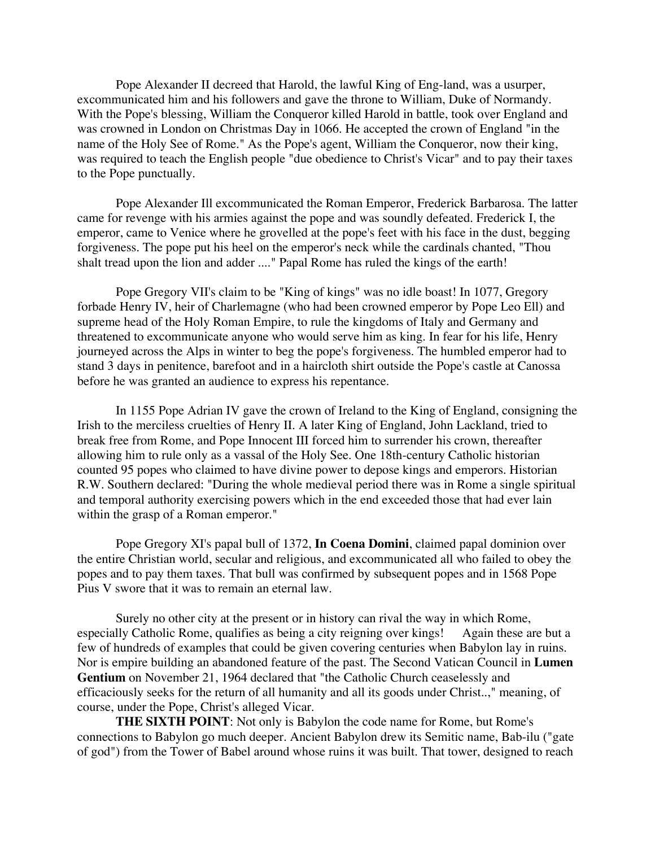Pope Alexander II decreed that Harold, the lawful King of Eng-land, was a usurper, excommunicated him and his followers and gave the throne to William, Duke of Normandy. With the Pope's blessing, William the Conqueror killed Harold in battle, took over England and was crowned in London on Christmas Day in 1066. He accepted the crown of England "in the name of the Holy See of Rome." As the Pope's agent, William the Conqueror, now their king, was required to teach the English people "due obedience to Christ's Vicar" and to pay their taxes to the Pope punctually.

Pope Alexander Ill excommunicated the Roman Emperor, Frederick Barbarosa. The latter came for revenge with his armies against the pope and was soundly defeated. Frederick I, the emperor, came to Venice where he grovelled at the pope's feet with his face in the dust, begging forgiveness. The pope put his heel on the emperor's neck while the cardinals chanted, "Thou shalt tread upon the lion and adder ...." Papal Rome has ruled the kings of the earth!

Pope Gregory VII's claim to be "King of kings" was no idle boast! In 1077, Gregory forbade Henry IV, heir of Charlemagne (who had been crowned emperor by Pope Leo Ell) and supreme head of the Holy Roman Empire, to rule the kingdoms of Italy and Germany and threatened to excommunicate anyone who would serve him as king. In fear for his life, Henry journeyed across the Alps in winter to beg the pope's forgiveness. The humbled emperor had to stand 3 days in penitence, barefoot and in a haircloth shirt outside the Pope's castle at Canossa before he was granted an audience to express his repentance.

In 1155 Pope Adrian IV gave the crown of Ireland to the King of England, consigning the Irish to the merciless cruelties of Henry II. A later King of England, John Lackland, tried to break free from Rome, and Pope Innocent III forced him to surrender his crown, thereafter allowing him to rule only as a vassal of the Holy See. One 18th-century Catholic historian counted 95 popes who claimed to have divine power to depose kings and emperors. Historian R.W. Southern declared: "During the whole medieval period there was in Rome a single spiritual and temporal authority exercising powers which in the end exceeded those that had ever lain within the grasp of a Roman emperor."

Pope Gregory XI's papal bull of 1372, **In Coena Domini**, claimed papal dominion over the entire Christian world, secular and religious, and excommunicated all who failed to obey the popes and to pay them taxes. That bull was confirmed by subsequent popes and in 1568 Pope Pius V swore that it was to remain an eternal law.

Surely no other city at the present or in history can rival the way in which Rome, especially Catholic Rome, qualifies as being a city reigning over kings! Again these are but a few of hundreds of examples that could be given covering centuries when Babylon lay in ruins. Nor is empire building an abandoned feature of the past. The Second Vatican Council in **Lumen Gentium** on November 21, 1964 declared that "the Catholic Church ceaselessly and efficaciously seeks for the return of all humanity and all its goods under Christ..," meaning, of course, under the Pope, Christ's alleged Vicar.

**THE SIXTH POINT**: Not only is Babylon the code name for Rome, but Rome's connections to Babylon go much deeper. Ancient Babylon drew its Semitic name, Bab-ilu ("gate of god") from the Tower of Babel around whose ruins it was built. That tower, designed to reach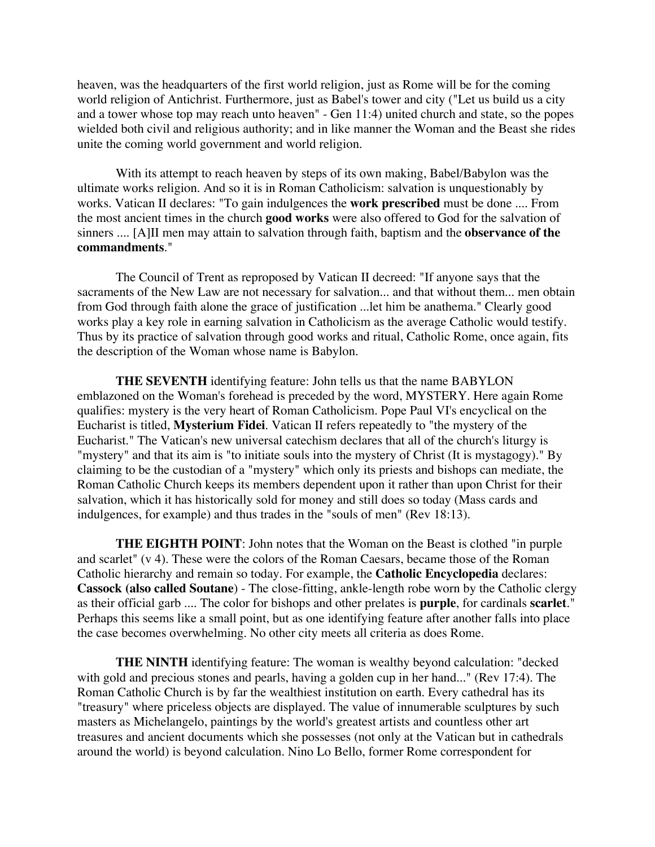heaven, was the headquarters of the first world religion, just as Rome will be for the coming world religion of Antichrist. Furthermore, just as Babel's tower and city ("Let us build us a city and a tower whose top may reach unto heaven" - Gen 11:4) united church and state, so the popes wielded both civil and religious authority; and in like manner the Woman and the Beast she rides unite the coming world government and world religion.

With its attempt to reach heaven by steps of its own making, Babel/Babylon was the ultimate works religion. And so it is in Roman Catholicism: salvation is unquestionably by works. Vatican II declares: "To gain indulgences the **work prescribed** must be done .... From the most ancient times in the church **good works** were also offered to God for the salvation of sinners .... [A]II men may attain to salvation through faith, baptism and the **observance of the commandments**."

The Council of Trent as reproposed by Vatican II decreed: "If anyone says that the sacraments of the New Law are not necessary for salvation... and that without them... men obtain from God through faith alone the grace of justification ...let him be anathema." Clearly good works play a key role in earning salvation in Catholicism as the average Catholic would testify. Thus by its practice of salvation through good works and ritual, Catholic Rome, once again, fits the description of the Woman whose name is Babylon.

**THE SEVENTH** identifying feature: John tells us that the name BABYLON emblazoned on the Woman's forehead is preceded by the word, MYSTERY. Here again Rome qualifies: mystery is the very heart of Roman Catholicism. Pope Paul VI's encyclical on the Eucharist is titled, **Mysterium Fidei**. Vatican II refers repeatedly to "the mystery of the Eucharist." The Vatican's new universal catechism declares that all of the church's liturgy is "mystery" and that its aim is "to initiate souls into the mystery of Christ (It is mystagogy)." By claiming to be the custodian of a "mystery" which only its priests and bishops can mediate, the Roman Catholic Church keeps its members dependent upon it rather than upon Christ for their salvation, which it has historically sold for money and still does so today (Mass cards and indulgences, for example) and thus trades in the "souls of men" (Rev 18:13).

**THE EIGHTH POINT**: John notes that the Woman on the Beast is clothed "in purple and scarlet" (v 4). These were the colors of the Roman Caesars, became those of the Roman Catholic hierarchy and remain so today. For example, the **Catholic Encyclopedia** declares: **Cassock (also called Soutane**) - The close-fitting, ankle-length robe worn by the Catholic clergy as their official garb .... The color for bishops and other prelates is **purple**, for cardinals **scarlet**." Perhaps this seems like a small point, but as one identifying feature after another falls into place the case becomes overwhelming. No other city meets all criteria as does Rome.

**THE NINTH** identifying feature: The woman is wealthy beyond calculation: "decked with gold and precious stones and pearls, having a golden cup in her hand..." (Rev 17:4). The Roman Catholic Church is by far the wealthiest institution on earth. Every cathedral has its "treasury" where priceless objects are displayed. The value of innumerable sculptures by such masters as Michelangelo, paintings by the world's greatest artists and countless other art treasures and ancient documents which she possesses (not only at the Vatican but in cathedrals around the world) is beyond calculation. Nino Lo Bello, former Rome correspondent for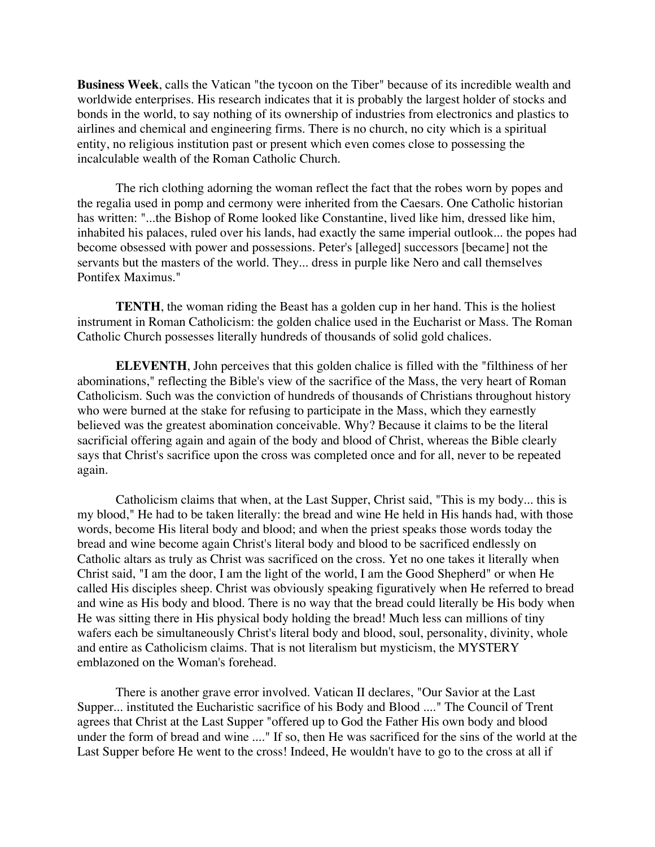**Business Week**, calls the Vatican "the tycoon on the Tiber" because of its incredible wealth and worldwide enterprises. His research indicates that it is probably the largest holder of stocks and bonds in the world, to say nothing of its ownership of industries from electronics and plastics to airlines and chemical and engineering firms. There is no church, no city which is a spiritual entity, no religious institution past or present which even comes close to possessing the incalculable wealth of the Roman Catholic Church.

The rich clothing adorning the woman reflect the fact that the robes worn by popes and the regalia used in pomp and cermony were inherited from the Caesars. One Catholic historian has written: "...the Bishop of Rome looked like Constantine, lived like him, dressed like him, inhabited his palaces, ruled over his lands, had exactly the same imperial outlook... the popes had become obsessed with power and possessions. Peter's [alleged] successors [became] not the servants but the masters of the world. They... dress in purple like Nero and call themselves Pontifex Maximus."

**TENTH**, the woman riding the Beast has a golden cup in her hand. This is the holiest instrument in Roman Catholicism: the golden chalice used in the Eucharist or Mass. The Roman Catholic Church possesses literally hundreds of thousands of solid gold chalices.

**ELEVENTH**, John perceives that this golden chalice is filled with the "filthiness of her abominations," reflecting the Bible's view of the sacrifice of the Mass, the very heart of Roman Catholicism. Such was the conviction of hundreds of thousands of Christians throughout history who were burned at the stake for refusing to participate in the Mass, which they earnestly believed was the greatest abomination conceivable. Why? Because it claims to be the literal sacrificial offering again and again of the body and blood of Christ, whereas the Bible clearly says that Christ's sacrifice upon the cross was completed once and for all, never to be repeated again.

Catholicism claims that when, at the Last Supper, Christ said, "This is my body... this is my blood," He had to be taken literally: the bread and wine He held in His hands had, with those words, become His literal body and blood; and when the priest speaks those words today the bread and wine become again Christ's literal body and blood to be sacrificed endlessly on Catholic altars as truly as Christ was sacrificed on the cross. Yet no one takes it literally when Christ said, "I am the door, I am the light of the world, I am the Good Shepherd" or when He called His disciples sheep. Christ was obviously speaking figuratively when He referred to bread and wine as His body and blood. There is no way that the bread could literally be His body when He was sitting there in His physical body holding the bread! Much less can millions of tiny wafers each be simultaneously Christ's literal body and blood, soul, personality, divinity, whole and entire as Catholicism claims. That is not literalism but mysticism, the MYSTERY emblazoned on the Woman's forehead.

There is another grave error involved. Vatican II declares, "Our Savior at the Last Supper... instituted the Eucharistic sacrifice of his Body and Blood ...." The Council of Trent agrees that Christ at the Last Supper "offered up to God the Father His own body and blood under the form of bread and wine ...." If so, then He was sacrificed for the sins of the world at the Last Supper before He went to the cross! Indeed, He wouldn't have to go to the cross at all if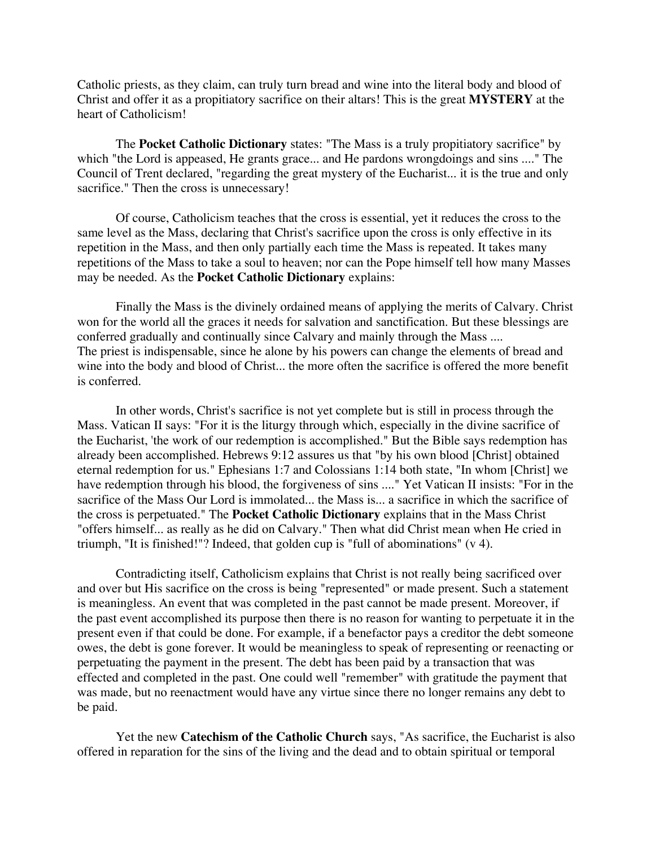Catholic priests, as they claim, can truly turn bread and wine into the literal body and blood of Christ and offer it as a propitiatory sacrifice on their altars! This is the great **MYSTERY** at the heart of Catholicism!

The **Pocket Catholic Dictionary** states: "The Mass is a truly propitiatory sacrifice" by which "the Lord is appeased, He grants grace... and He pardons wrongdoings and sins ...." The Council of Trent declared, "regarding the great mystery of the Eucharist... it is the true and only sacrifice." Then the cross is unnecessary!

Of course, Catholicism teaches that the cross is essential, yet it reduces the cross to the same level as the Mass, declaring that Christ's sacrifice upon the cross is only effective in its repetition in the Mass, and then only partially each time the Mass is repeated. It takes many repetitions of the Mass to take a soul to heaven; nor can the Pope himself tell how many Masses may be needed. As the **Pocket Catholic Dictionary** explains:

Finally the Mass is the divinely ordained means of applying the merits of Calvary. Christ won for the world all the graces it needs for salvation and sanctification. But these blessings are conferred gradually and continually since Calvary and mainly through the Mass .... The priest is indispensable, since he alone by his powers can change the elements of bread and wine into the body and blood of Christ... the more often the sacrifice is offered the more benefit is conferred.

In other words, Christ's sacrifice is not yet complete but is still in process through the Mass. Vatican II says: "For it is the liturgy through which, especially in the divine sacrifice of the Eucharist, 'the work of our redemption is accomplished." But the Bible says redemption has already been accomplished. Hebrews 9:12 assures us that "by his own blood [Christ] obtained eternal redemption for us." Ephesians 1:7 and Colossians 1:14 both state, "In whom [Christ] we have redemption through his blood, the forgiveness of sins ...." Yet Vatican II insists: "For in the sacrifice of the Mass Our Lord is immolated... the Mass is... a sacrifice in which the sacrifice of the cross is perpetuated." The **Pocket Catholic Dictionary** explains that in the Mass Christ "offers himself... as really as he did on Calvary." Then what did Christ mean when He cried in triumph, "It is finished!"? Indeed, that golden cup is "full of abominations" (v 4).

Contradicting itself, Catholicism explains that Christ is not really being sacrificed over and over but His sacrifice on the cross is being "represented" or made present. Such a statement is meaningless. An event that was completed in the past cannot be made present. Moreover, if the past event accomplished its purpose then there is no reason for wanting to perpetuate it in the present even if that could be done. For example, if a benefactor pays a creditor the debt someone owes, the debt is gone forever. It would be meaningless to speak of representing or reenacting or perpetuating the payment in the present. The debt has been paid by a transaction that was effected and completed in the past. One could well "remember" with gratitude the payment that was made, but no reenactment would have any virtue since there no longer remains any debt to be paid.

Yet the new **Catechism of the Catholic Church** says, "As sacrifice, the Eucharist is also offered in reparation for the sins of the living and the dead and to obtain spiritual or temporal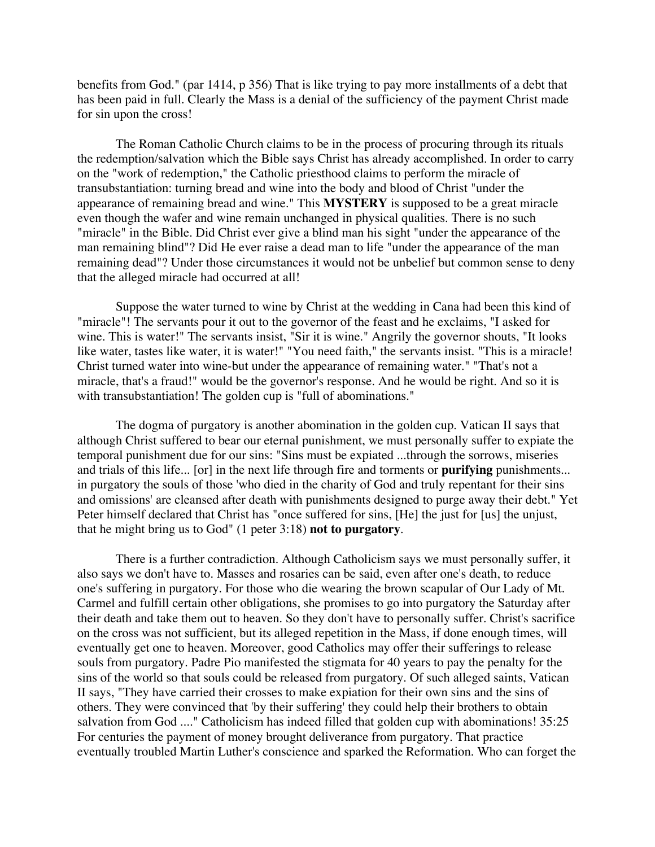benefits from God." (par 1414, p 356) That is like trying to pay more installments of a debt that has been paid in full. Clearly the Mass is a denial of the sufficiency of the payment Christ made for sin upon the cross!

The Roman Catholic Church claims to be in the process of procuring through its rituals the redemption/salvation which the Bible says Christ has already accomplished. In order to carry on the "work of redemption," the Catholic priesthood claims to perform the miracle of transubstantiation: turning bread and wine into the body and blood of Christ "under the appearance of remaining bread and wine." This **MYSTERY** is supposed to be a great miracle even though the wafer and wine remain unchanged in physical qualities. There is no such "miracle" in the Bible. Did Christ ever give a blind man his sight "under the appearance of the man remaining blind"? Did He ever raise a dead man to life "under the appearance of the man remaining dead"? Under those circumstances it would not be unbelief but common sense to deny that the alleged miracle had occurred at all!

Suppose the water turned to wine by Christ at the wedding in Cana had been this kind of "miracle"! The servants pour it out to the governor of the feast and he exclaims, "I asked for wine. This is water!" The servants insist, "Sir it is wine." Angrily the governor shouts, "It looks like water, tastes like water, it is water!" "You need faith," the servants insist. "This is a miracle! Christ turned water into wine-but under the appearance of remaining water." "That's not a miracle, that's a fraud!" would be the governor's response. And he would be right. And so it is with transubstantiation! The golden cup is "full of abominations."

The dogma of purgatory is another abomination in the golden cup. Vatican II says that although Christ suffered to bear our eternal punishment, we must personally suffer to expiate the temporal punishment due for our sins: "Sins must be expiated ...through the sorrows, miseries and trials of this life... [or] in the next life through fire and torments or **purifying** punishments... in purgatory the souls of those 'who died in the charity of God and truly repentant for their sins and omissions' are cleansed after death with punishments designed to purge away their debt." Yet Peter himself declared that Christ has "once suffered for sins, [He] the just for [us] the unjust, that he might bring us to God" (1 peter 3:18) **not to purgatory**.

There is a further contradiction. Although Catholicism says we must personally suffer, it also says we don't have to. Masses and rosaries can be said, even after one's death, to reduce one's suffering in purgatory. For those who die wearing the brown scapular of Our Lady of Mt. Carmel and fulfill certain other obligations, she promises to go into purgatory the Saturday after their death and take them out to heaven. So they don't have to personally suffer. Christ's sacrifice on the cross was not sufficient, but its alleged repetition in the Mass, if done enough times, will eventually get one to heaven. Moreover, good Catholics may offer their sufferings to release souls from purgatory. Padre Pio manifested the stigmata for 40 years to pay the penalty for the sins of the world so that souls could be released from purgatory. Of such alleged saints, Vatican II says, "They have carried their crosses to make expiation for their own sins and the sins of others. They were convinced that 'by their suffering' they could help their brothers to obtain salvation from God ...." Catholicism has indeed filled that golden cup with abominations! 35:25 For centuries the payment of money brought deliverance from purgatory. That practice eventually troubled Martin Luther's conscience and sparked the Reformation. Who can forget the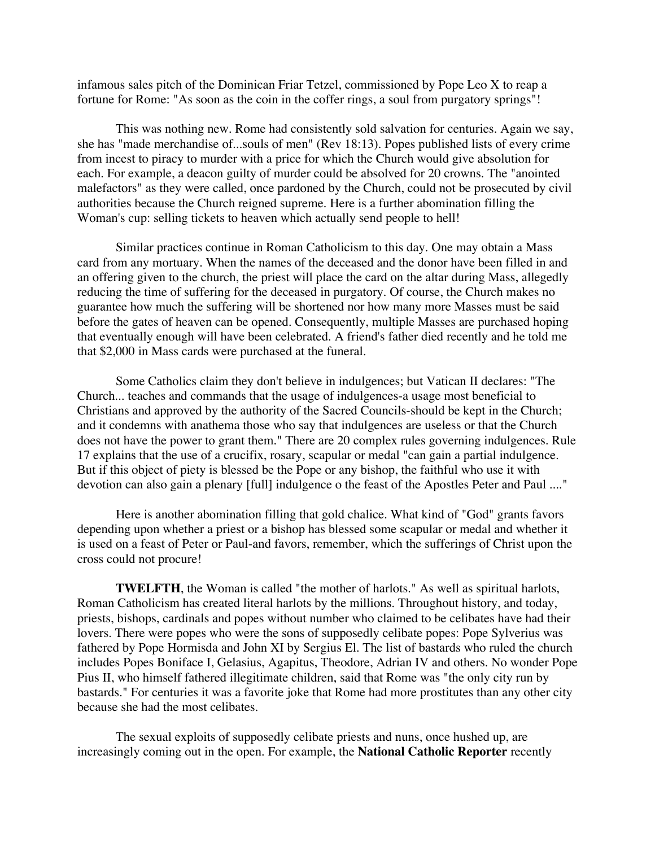infamous sales pitch of the Dominican Friar Tetzel, commissioned by Pope Leo X to reap a fortune for Rome: "As soon as the coin in the coffer rings, a soul from purgatory springs"!

This was nothing new. Rome had consistently sold salvation for centuries. Again we say, she has "made merchandise of...souls of men" (Rev 18:13). Popes published lists of every crime from incest to piracy to murder with a price for which the Church would give absolution for each. For example, a deacon guilty of murder could be absolved for 20 crowns. The "anointed malefactors" as they were called, once pardoned by the Church, could not be prosecuted by civil authorities because the Church reigned supreme. Here is a further abomination filling the Woman's cup: selling tickets to heaven which actually send people to hell!

Similar practices continue in Roman Catholicism to this day. One may obtain a Mass card from any mortuary. When the names of the deceased and the donor have been filled in and an offering given to the church, the priest will place the card on the altar during Mass, allegedly reducing the time of suffering for the deceased in purgatory. Of course, the Church makes no guarantee how much the suffering will be shortened nor how many more Masses must be said before the gates of heaven can be opened. Consequently, multiple Masses are purchased hoping that eventually enough will have been celebrated. A friend's father died recently and he told me that \$2,000 in Mass cards were purchased at the funeral.

Some Catholics claim they don't believe in indulgences; but Vatican II declares: "The Church... teaches and commands that the usage of indulgences-a usage most beneficial to Christians and approved by the authority of the Sacred Councils-should be kept in the Church; and it condemns with anathema those who say that indulgences are useless or that the Church does not have the power to grant them." There are 20 complex rules governing indulgences. Rule 17 explains that the use of a crucifix, rosary, scapular or medal "can gain a partial indulgence. But if this object of piety is blessed be the Pope or any bishop, the faithful who use it with devotion can also gain a plenary [full] indulgence o the feast of the Apostles Peter and Paul ...."

Here is another abomination filling that gold chalice. What kind of "God" grants favors depending upon whether a priest or a bishop has blessed some scapular or medal and whether it is used on a feast of Peter or Paul-and favors, remember, which the sufferings of Christ upon the cross could not procure!

**TWELFTH**, the Woman is called "the mother of harlots." As well as spiritual harlots, Roman Catholicism has created literal harlots by the millions. Throughout history, and today, priests, bishops, cardinals and popes without number who claimed to be celibates have had their lovers. There were popes who were the sons of supposedly celibate popes: Pope Sylverius was fathered by Pope Hormisda and John XI by Sergius El. The list of bastards who ruled the church includes Popes Boniface I, Gelasius, Agapitus, Theodore, Adrian IV and others. No wonder Pope Pius II, who himself fathered illegitimate children, said that Rome was "the only city run by bastards." For centuries it was a favorite joke that Rome had more prostitutes than any other city because she had the most celibates.

The sexual exploits of supposedly celibate priests and nuns, once hushed up, are increasingly coming out in the open. For example, the **National Catholic Reporter** recently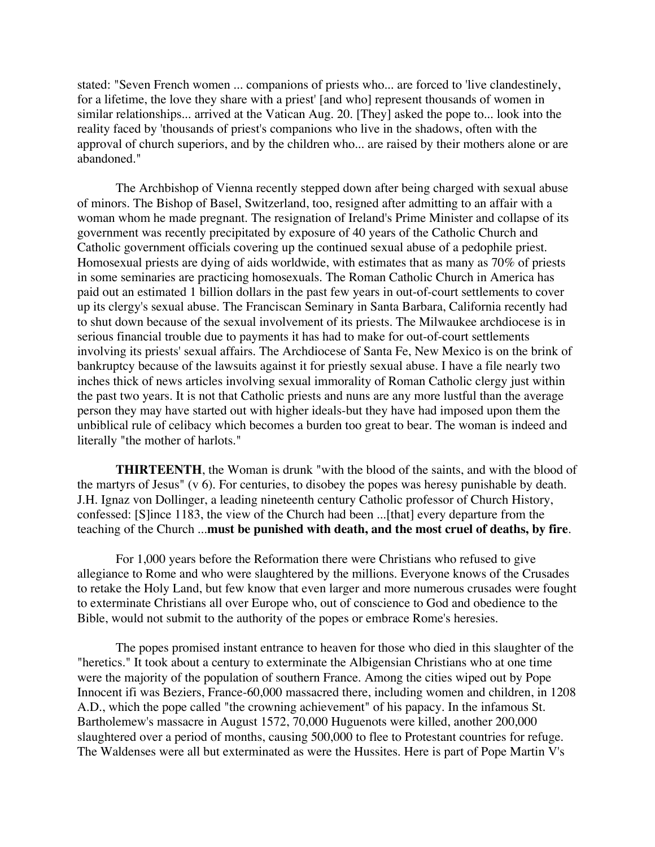stated: "Seven French women ... companions of priests who... are forced to 'live clandestinely, for a lifetime, the love they share with a priest' [and who] represent thousands of women in similar relationships... arrived at the Vatican Aug. 20. [They] asked the pope to... look into the reality faced by 'thousands of priest's companions who live in the shadows, often with the approval of church superiors, and by the children who... are raised by their mothers alone or are abandoned."

The Archbishop of Vienna recently stepped down after being charged with sexual abuse of minors. The Bishop of Basel, Switzerland, too, resigned after admitting to an affair with a woman whom he made pregnant. The resignation of Ireland's Prime Minister and collapse of its government was recently precipitated by exposure of 40 years of the Catholic Church and Catholic government officials covering up the continued sexual abuse of a pedophile priest. Homosexual priests are dying of aids worldwide, with estimates that as many as 70% of priests in some seminaries are practicing homosexuals. The Roman Catholic Church in America has paid out an estimated 1 billion dollars in the past few years in out-of-court settlements to cover up its clergy's sexual abuse. The Franciscan Seminary in Santa Barbara, California recently had to shut down because of the sexual involvement of its priests. The Milwaukee archdiocese is in serious financial trouble due to payments it has had to make for out-of-court settlements involving its priests' sexual affairs. The Archdiocese of Santa Fe, New Mexico is on the brink of bankruptcy because of the lawsuits against it for priestly sexual abuse. I have a file nearly two inches thick of news articles involving sexual immorality of Roman Catholic clergy just within the past two years. It is not that Catholic priests and nuns are any more lustful than the average person they may have started out with higher ideals-but they have had imposed upon them the unbiblical rule of celibacy which becomes a burden too great to bear. The woman is indeed and literally "the mother of harlots."

**THIRTEENTH**, the Woman is drunk "with the blood of the saints, and with the blood of the martyrs of Jesus" (v 6). For centuries, to disobey the popes was heresy punishable by death. J.H. Ignaz von Dollinger, a leading nineteenth century Catholic professor of Church History, confessed: [S]ince 1183, the view of the Church had been ...[that] every departure from the teaching of the Church ...**must be punished with death, and the most cruel of deaths, by fire**.

For 1,000 years before the Reformation there were Christians who refused to give allegiance to Rome and who were slaughtered by the millions. Everyone knows of the Crusades to retake the Holy Land, but few know that even larger and more numerous crusades were fought to exterminate Christians all over Europe who, out of conscience to God and obedience to the Bible, would not submit to the authority of the popes or embrace Rome's heresies.

The popes promised instant entrance to heaven for those who died in this slaughter of the "heretics." It took about a century to exterminate the Albigensian Christians who at one time were the majority of the population of southern France. Among the cities wiped out by Pope Innocent ifi was Beziers, France-60,000 massacred there, including women and children, in 1208 A.D., which the pope called "the crowning achievement" of his papacy. In the infamous St. Bartholemew's massacre in August 1572, 70,000 Huguenots were killed, another 200,000 slaughtered over a period of months, causing 500,000 to flee to Protestant countries for refuge. The Waldenses were all but exterminated as were the Hussites. Here is part of Pope Martin V's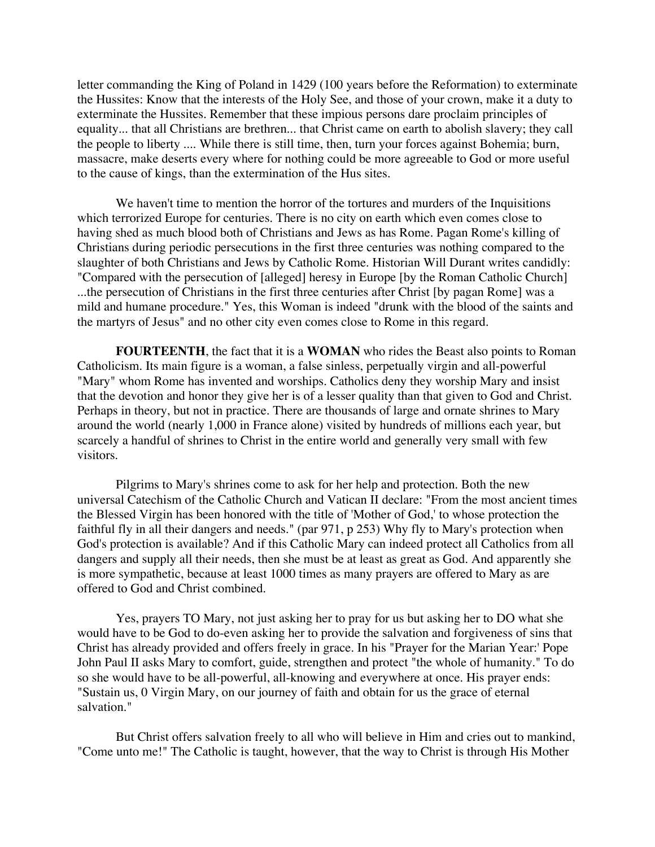letter commanding the King of Poland in 1429 (100 years before the Reformation) to exterminate the Hussites: Know that the interests of the Holy See, and those of your crown, make it a duty to exterminate the Hussites. Remember that these impious persons dare proclaim principles of equality... that all Christians are brethren... that Christ came on earth to abolish slavery; they call the people to liberty .... While there is still time, then, turn your forces against Bohemia; burn, massacre, make deserts every where for nothing could be more agreeable to God or more useful to the cause of kings, than the extermination of the Hus sites.

We haven't time to mention the horror of the tortures and murders of the Inquisitions which terrorized Europe for centuries. There is no city on earth which even comes close to having shed as much blood both of Christians and Jews as has Rome. Pagan Rome's killing of Christians during periodic persecutions in the first three centuries was nothing compared to the slaughter of both Christians and Jews by Catholic Rome. Historian Will Durant writes candidly: "Compared with the persecution of [alleged] heresy in Europe [by the Roman Catholic Church] ...the persecution of Christians in the first three centuries after Christ [by pagan Rome] was a mild and humane procedure." Yes, this Woman is indeed "drunk with the blood of the saints and the martyrs of Jesus" and no other city even comes close to Rome in this regard.

**FOURTEENTH**, the fact that it is a **WOMAN** who rides the Beast also points to Roman Catholicism. Its main figure is a woman, a false sinless, perpetually virgin and all-powerful "Mary" whom Rome has invented and worships. Catholics deny they worship Mary and insist that the devotion and honor they give her is of a lesser quality than that given to God and Christ. Perhaps in theory, but not in practice. There are thousands of large and ornate shrines to Mary around the world (nearly 1,000 in France alone) visited by hundreds of millions each year, but scarcely a handful of shrines to Christ in the entire world and generally very small with few visitors.

Pilgrims to Mary's shrines come to ask for her help and protection. Both the new universal Catechism of the Catholic Church and Vatican II declare: "From the most ancient times the Blessed Virgin has been honored with the title of 'Mother of God,' to whose protection the faithful fly in all their dangers and needs." (par 971, p 253) Why fly to Mary's protection when God's protection is available? And if this Catholic Mary can indeed protect all Catholics from all dangers and supply all their needs, then she must be at least as great as God. And apparently she is more sympathetic, because at least 1000 times as many prayers are offered to Mary as are offered to God and Christ combined.

Yes, prayers TO Mary, not just asking her to pray for us but asking her to DO what she would have to be God to do-even asking her to provide the salvation and forgiveness of sins that Christ has already provided and offers freely in grace. In his "Prayer for the Marian Year:' Pope John Paul II asks Mary to comfort, guide, strengthen and protect "the whole of humanity." To do so she would have to be all-powerful, all-knowing and everywhere at once. His prayer ends: "Sustain us, 0 Virgin Mary, on our journey of faith and obtain for us the grace of eternal salvation."

But Christ offers salvation freely to all who will believe in Him and cries out to mankind, "Come unto me!" The Catholic is taught, however, that the way to Christ is through His Mother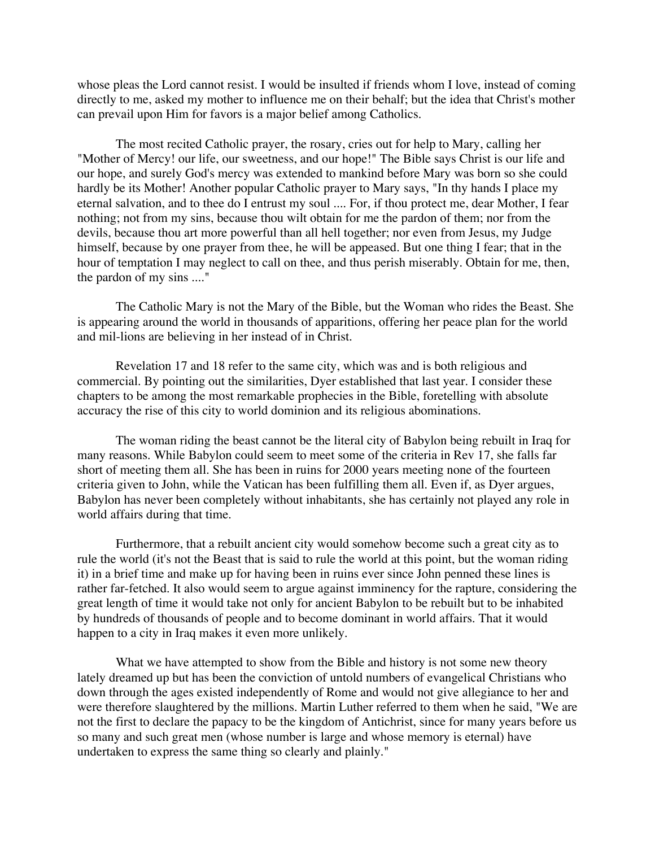whose pleas the Lord cannot resist. I would be insulted if friends whom I love, instead of coming directly to me, asked my mother to influence me on their behalf; but the idea that Christ's mother can prevail upon Him for favors is a major belief among Catholics.

The most recited Catholic prayer, the rosary, cries out for help to Mary, calling her "Mother of Mercy! our life, our sweetness, and our hope!" The Bible says Christ is our life and our hope, and surely God's mercy was extended to mankind before Mary was born so she could hardly be its Mother! Another popular Catholic prayer to Mary says, "In thy hands I place my eternal salvation, and to thee do I entrust my soul .... For, if thou protect me, dear Mother, I fear nothing; not from my sins, because thou wilt obtain for me the pardon of them; nor from the devils, because thou art more powerful than all hell together; nor even from Jesus, my Judge himself, because by one prayer from thee, he will be appeased. But one thing I fear; that in the hour of temptation I may neglect to call on thee, and thus perish miserably. Obtain for me, then, the pardon of my sins ...."

The Catholic Mary is not the Mary of the Bible, but the Woman who rides the Beast. She is appearing around the world in thousands of apparitions, offering her peace plan for the world and mil-lions are believing in her instead of in Christ.

Revelation 17 and 18 refer to the same city, which was and is both religious and commercial. By pointing out the similarities, Dyer established that last year. I consider these chapters to be among the most remarkable prophecies in the Bible, foretelling with absolute accuracy the rise of this city to world dominion and its religious abominations.

The woman riding the beast cannot be the literal city of Babylon being rebuilt in Iraq for many reasons. While Babylon could seem to meet some of the criteria in Rev 17, she falls far short of meeting them all. She has been in ruins for 2000 years meeting none of the fourteen criteria given to John, while the Vatican has been fulfilling them all. Even if, as Dyer argues, Babylon has never been completely without inhabitants, she has certainly not played any role in world affairs during that time.

Furthermore, that a rebuilt ancient city would somehow become such a great city as to rule the world (it's not the Beast that is said to rule the world at this point, but the woman riding it) in a brief time and make up for having been in ruins ever since John penned these lines is rather far-fetched. It also would seem to argue against imminency for the rapture, considering the great length of time it would take not only for ancient Babylon to be rebuilt but to be inhabited by hundreds of thousands of people and to become dominant in world affairs. That it would happen to a city in Iraq makes it even more unlikely.

What we have attempted to show from the Bible and history is not some new theory lately dreamed up but has been the conviction of untold numbers of evangelical Christians who down through the ages existed independently of Rome and would not give allegiance to her and were therefore slaughtered by the millions. Martin Luther referred to them when he said, "We are not the first to declare the papacy to be the kingdom of Antichrist, since for many years before us so many and such great men (whose number is large and whose memory is eternal) have undertaken to express the same thing so clearly and plainly."